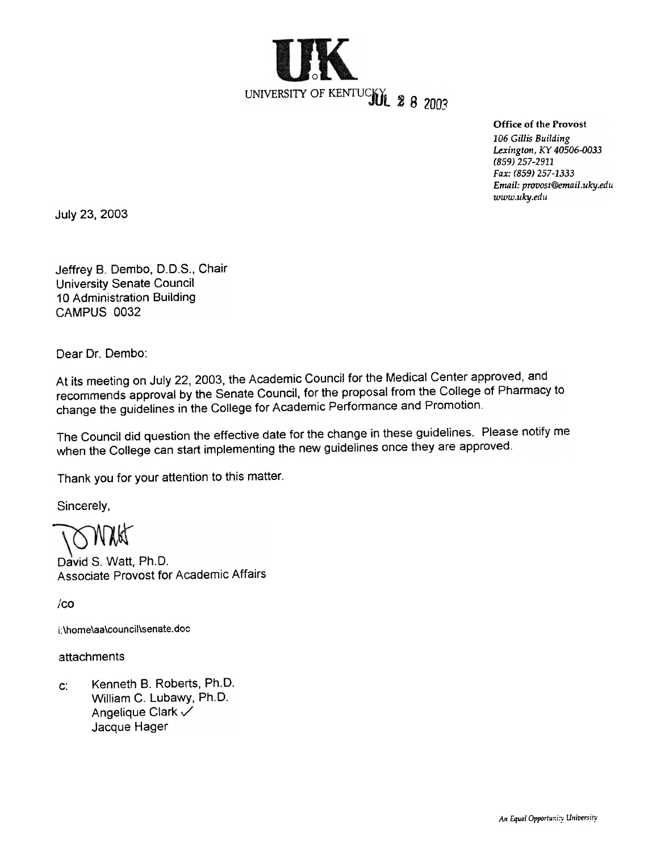

Office of the Provost

106 Gillis Building Lexington, KY 40506-0033 (859) 257-2911 Fax: (859) 257-1333 Email: provost@email.uky.edu www.uky.edu

July 23, 2003

Jeffrey B. Dembo, D.D.S., Chair University Senate Council 10 Administration Building CAMPUS 0032

Dear Dr. Dembo:

At its meeting on July 22, 2003, the Academic Council for the Medical Center approved, and recommends approval by the Senate Council, for the proposal from the College of Pharmacy to change the guidelines in the College for Academic Performance and Promotion.

The Council did question the effective date for the change in these guidelines. Please notify me when the College can start implementing the new guidelines once they are approved.

Thank you for your attention to this matter.

Sincerely,

David S. Watt, Ph.D. Associate Provost for Academic Affairs

 $/$ co

i: \home\aa\cou ncil\senate. doc

attachments

Kenneth B. Roberts, Ph.D. William C. Lubawy, Ph.D. Angelique Clark  $\checkmark$ Jacque Hager c: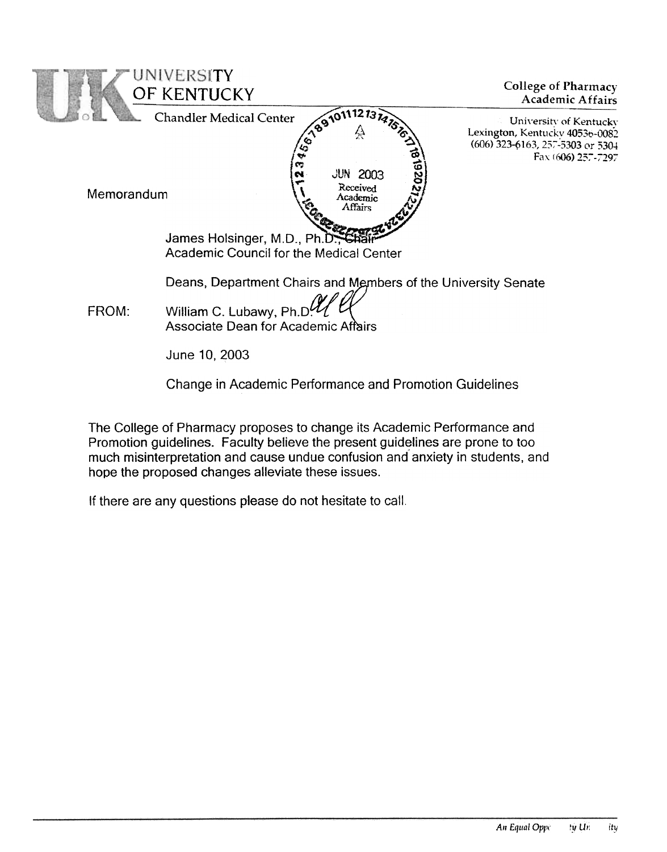

The College of Pharmacy proposes to change its Academic Performance and Promotion guidelines. Faculty believe the present guidelines are prone to too much misinterpretation and cause undue confusion and anxiety in students, and hope the proposed changes alleviate these issues.

If there are any questions please do not hesitate to call.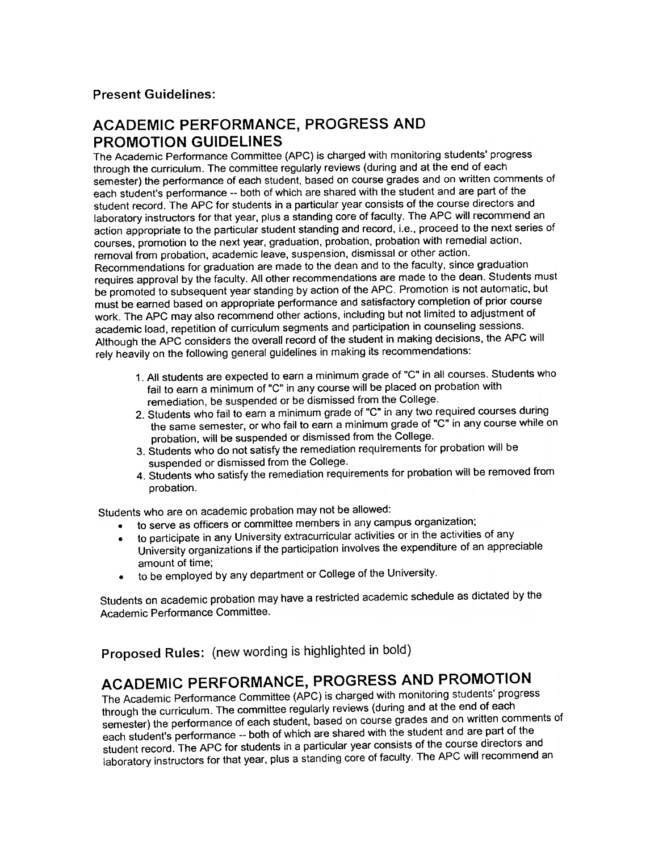## Present Guidelines:

## ACADEMIC PERFORMANCE, PROGRESS AND PROMOTION GUIDELINES

The Academic Performance Committee (APC) is charged with monitoring students' progress through the curriculum. The committee regularly reviews (during and at the end of each semester) the performance of each student, based on course grades and on written comments of each student's performance --both of which are shared with the student and are part of the student record. The APC for students in a particular year consists of the course directors and laboratory instructors for that year, plus a standing core of faculty. The APC will recommend an action appropriate to the particular student standing and record, i.e., proceed to the next series of courses, promotion to the next year, graduation, probation, probation with remedial action, removal from probation, academic leave, suspension, dismissal or other action. Recommendations for graduation are made to the dean and to the faculty, since graduation requires approval by the faculty. All other recommendations are made to the dean. Students must be promoted to subsequent year standing by action of the APC. Promotion is not automatic, but must be earned based on appropriate performance and satisfactory completion of prior course work. The APC may also recommend other actions, including but not limited to adjustment of academic load, repetition of curriculum segments and participation in counseling sessions. Although the APC considers the overall record of the student in making decisions, the APC will rely heavily on the following general guidelines in making its recommendations:

- 1. All students are expected to earn a minimum grade of "C" in all courses. Students who fail to earn a minimum of "C" in any course will be placed on probation with remediation, be suspended or be dismissed from the College.
- 2. Students who fail to earn a minimum grade of "C" in any two required courses during the same semester. or who fail to earn a minimum grade of "C" in any course while on probation, will be suspended or dismissed from the College.
- 3. Students who do not satisfy the remediation requirements for probation will be suspended or dismissed from the College.
- 4. Students who satisfy the remediation requirements for probation will be removed from probation.

Students who are on academic probation may not be allowed:

- .to serve as officers or committee members in any campus organization;
- to participate in any University extracurricular activities or in the activities of any University organizations if the participation involves the expenditure of an appreciable amount of time;
- .to be employed by any department or College of the University.

Students on academic probation may have a restricted academic schedule as dictated by the Academic Performance Committee.

Proposed Rules: (new wording is highlighted in bold)

## ACADEMIC PERFORMANCE, PROGRESS AND PROMOTION

The Academic Performance Committee (APC) is charged with monitoring students' progress through the curriculum. The committee regularly reviews (during and at the end of each semester) the performance of each student, based on course grades and on written comments of each student's performance --both of which are shared with the student and are part of the student record. The APC for students in a particular year consists of the course directors and laboratory instructors for that year, plus a standing core of faculty. The APC will recommend an